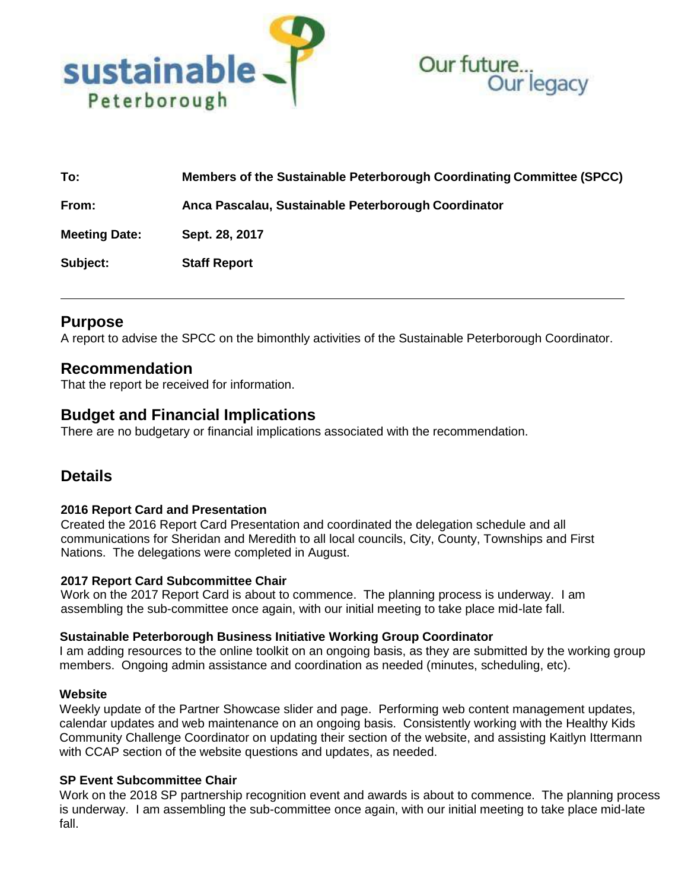



| To:                  | Members of the Sustainable Peterborough Coordinating Committee (SPCC) |
|----------------------|-----------------------------------------------------------------------|
| From:                | Anca Pascalau, Sustainable Peterborough Coordinator                   |
| <b>Meeting Date:</b> | Sept. 28, 2017                                                        |
| Subject:             | <b>Staff Report</b>                                                   |

# **Purpose**

A report to advise the SPCC on the bimonthly activities of the Sustainable Peterborough Coordinator.

# **Recommendation**

That the report be received for information.

# **Budget and Financial Implications**

There are no budgetary or financial implications associated with the recommendation.

# **Details**

# **2016 Report Card and Presentation**

Created the 2016 Report Card Presentation and coordinated the delegation schedule and all communications for Sheridan and Meredith to all local councils, City, County, Townships and First Nations. The delegations were completed in August.

# **2017 Report Card Subcommittee Chair**

Work on the 2017 Report Card is about to commence. The planning process is underway. I am assembling the sub-committee once again, with our initial meeting to take place mid-late fall.

#### **Sustainable Peterborough Business Initiative Working Group Coordinator**

I am adding resources to the online toolkit on an ongoing basis, as they are submitted by the working group members. Ongoing admin assistance and coordination as needed (minutes, scheduling, etc).

#### **Website**

Weekly update of the Partner Showcase slider and page. Performing web content management updates, calendar updates and web maintenance on an ongoing basis. Consistently working with the Healthy Kids Community Challenge Coordinator on updating their section of the website, and assisting Kaitlyn Ittermann with CCAP section of the website questions and updates, as needed.

#### **SP Event Subcommittee Chair**

Work on the 2018 SP partnership recognition event and awards is about to commence. The planning process is underway. I am assembling the sub-committee once again, with our initial meeting to take place mid-late fall.